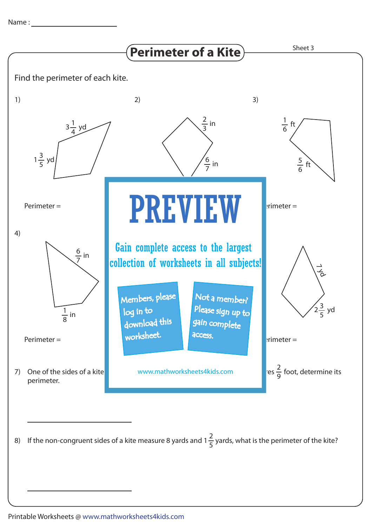